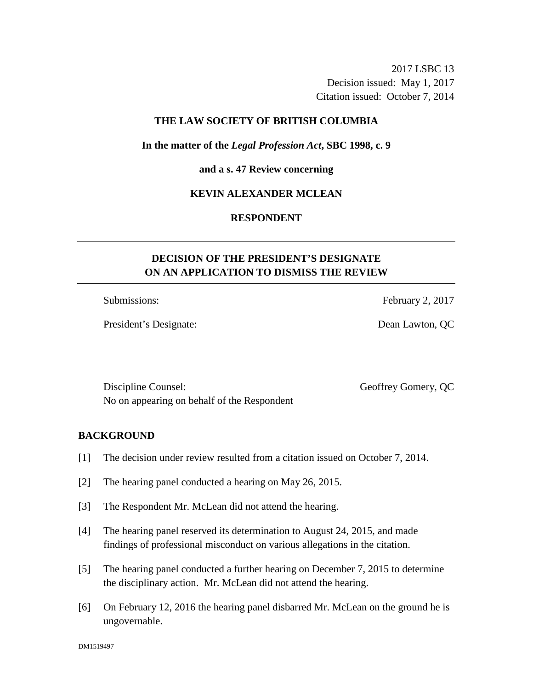2017 LSBC 13 Decision issued: May 1, 2017 Citation issued: October 7, 2014

## **THE LAW SOCIETY OF BRITISH COLUMBIA**

### **In the matter of the** *Legal Profession Act***, SBC 1998, c. 9**

#### **and a s. 47 Review concerning**

### **KEVIN ALEXANDER MCLEAN**

## **RESPONDENT**

# **DECISION OF THE PRESIDENT'S DESIGNATE ON AN APPLICATION TO DISMISS THE REVIEW**

President's Designate: Dean Lawton, QC

Submissions: February 2, 2017

Discipline Counsel: Geoffrey Gomery, QC No on appearing on behalf of the Respondent

### **BACKGROUND**

- [1] The decision under review resulted from a citation issued on October 7, 2014.
- [2] The hearing panel conducted a hearing on May 26, 2015.
- [3] The Respondent Mr. McLean did not attend the hearing.
- [4] The hearing panel reserved its determination to August 24, 2015, and made findings of professional misconduct on various allegations in the citation.
- [5] The hearing panel conducted a further hearing on December 7, 2015 to determine the disciplinary action. Mr. McLean did not attend the hearing.
- [6] On February 12, 2016 the hearing panel disbarred Mr. McLean on the ground he is ungovernable.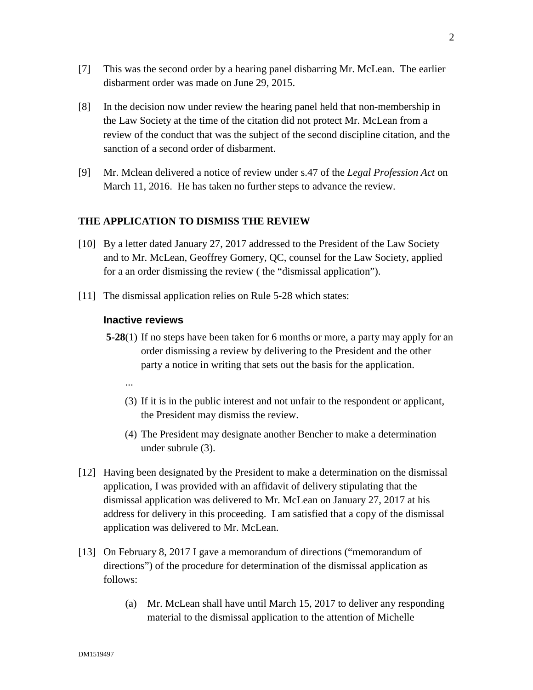- [7] This was the second order by a hearing panel disbarring Mr. McLean. The earlier disbarment order was made on June 29, 2015.
- [8] In the decision now under review the hearing panel held that non-membership in the Law Society at the time of the citation did not protect Mr. McLean from a review of the conduct that was the subject of the second discipline citation, and the sanction of a second order of disbarment.
- [9] Mr. Mclean delivered a notice of review under s.47 of the *Legal Profession Act* on March 11, 2016. He has taken no further steps to advance the review.

### **THE APPLICATION TO DISMISS THE REVIEW**

- [10] By a letter dated January 27, 2017 addressed to the President of the Law Society and to Mr. McLean, Geoffrey Gomery, QC, counsel for the Law Society, applied for a an order dismissing the review ( the "dismissal application").
- [11] The dismissal application relies on Rule 5-28 which states:

### **Inactive reviews**

- **5-28**(1) If no steps have been taken for 6 months or more, a party may apply for an order dismissing a review by delivering to the President and the other party a notice in writing that sets out the basis for the application.
	- ...
	- (3) If it is in the public interest and not unfair to the respondent or applicant, the President may dismiss the review.
	- (4) The President may designate another Bencher to make a determination under subrule (3).
- [12] Having been designated by the President to make a determination on the dismissal application, I was provided with an affidavit of delivery stipulating that the dismissal application was delivered to Mr. McLean on January 27, 2017 at his address for delivery in this proceeding. I am satisfied that a copy of the dismissal application was delivered to Mr. McLean.
- [13] On February 8, 2017 I gave a memorandum of directions ("memorandum of directions") of the procedure for determination of the dismissal application as follows:
	- (a) Mr. McLean shall have until March 15, 2017 to deliver any responding material to the dismissal application to the attention of Michelle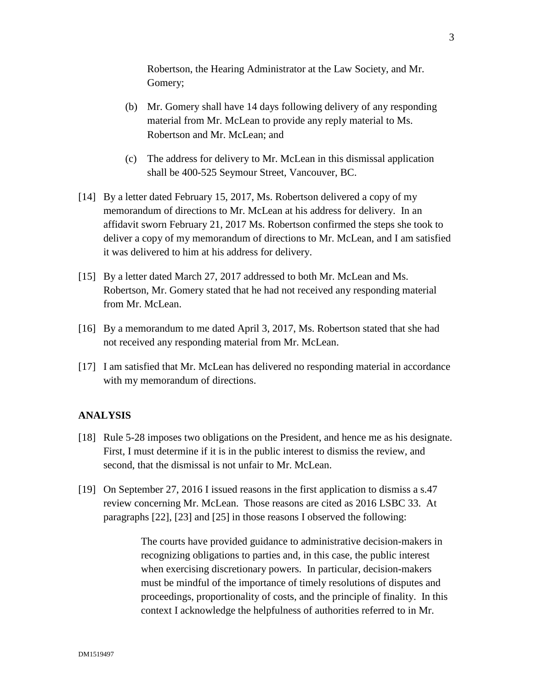Robertson, the Hearing Administrator at the Law Society, and Mr. Gomery;

- (b) Mr. Gomery shall have 14 days following delivery of any responding material from Mr. McLean to provide any reply material to Ms. Robertson and Mr. McLean; and
- (c) The address for delivery to Mr. McLean in this dismissal application shall be 400-525 Seymour Street, Vancouver, BC.
- [14] By a letter dated February 15, 2017, Ms. Robertson delivered a copy of my memorandum of directions to Mr. McLean at his address for delivery. In an affidavit sworn February 21, 2017 Ms. Robertson confirmed the steps she took to deliver a copy of my memorandum of directions to Mr. McLean, and I am satisfied it was delivered to him at his address for delivery.
- [15] By a letter dated March 27, 2017 addressed to both Mr. McLean and Ms. Robertson, Mr. Gomery stated that he had not received any responding material from Mr. McLean.
- [16] By a memorandum to me dated April 3, 2017, Ms. Robertson stated that she had not received any responding material from Mr. McLean.
- [17] I am satisfied that Mr. McLean has delivered no responding material in accordance with my memorandum of directions.

### **ANALYSIS**

- [18] Rule 5-28 imposes two obligations on the President, and hence me as his designate. First, I must determine if it is in the public interest to dismiss the review, and second, that the dismissal is not unfair to Mr. McLean.
- [19] On September 27, 2016 I issued reasons in the first application to dismiss a s.47 review concerning Mr. McLean. Those reasons are cited as 2016 LSBC 33. At paragraphs [22], [23] and [25] in those reasons I observed the following:

The courts have provided guidance to administrative decision-makers in recognizing obligations to parties and, in this case, the public interest when exercising discretionary powers. In particular, decision-makers must be mindful of the importance of timely resolutions of disputes and proceedings, proportionality of costs, and the principle of finality. In this context I acknowledge the helpfulness of authorities referred to in Mr.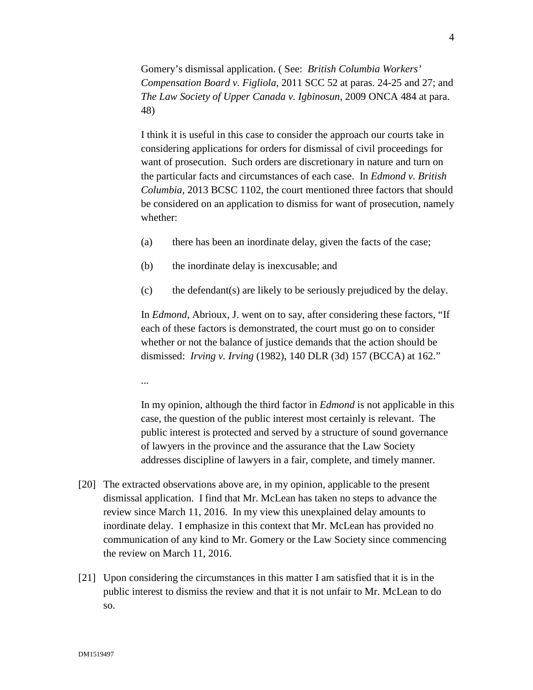Gomery's dismissal application. ( See: *British Columbia Workers' Compensation Board v. Figliola*, 2011 SCC 52 at paras. 24-25 and 27; and *The Law Society of Upper Canada v. Igbinosun*, 2009 ONCA 484 at para. 48)

I think it is useful in this case to consider the approach our courts take in considering applications for orders for dismissal of civil proceedings for want of prosecution. Such orders are discretionary in nature and turn on the particular facts and circumstances of each case. In *Edmond v. British Columbia*, 2013 BCSC 1102, the court mentioned three factors that should be considered on an application to dismiss for want of prosecution, namely whether:

- (a) there has been an inordinate delay, given the facts of the case;
- (b) the inordinate delay is inexcusable; and
- (c) the defendant(s) are likely to be seriously prejudiced by the delay.

In *Edmond*, Abrioux, J. went on to say, after considering these factors, "If each of these factors is demonstrated, the court must go on to consider whether or not the balance of justice demands that the action should be dismissed: *Irving v. Irving* (1982), 140 DLR (3d) 157 (BCCA) at 162."

...

In my opinion, although the third factor in *Edmond* is not applicable in this case, the question of the public interest most certainly is relevant. The public interest is protected and served by a structure of sound governance of lawyers in the province and the assurance that the Law Society addresses discipline of lawyers in a fair, complete, and timely manner.

- [20] The extracted observations above are, in my opinion, applicable to the present dismissal application. I find that Mr. McLean has taken no steps to advance the review since March 11, 2016. In my view this unexplained delay amounts to inordinate delay. I emphasize in this context that Mr. McLean has provided no communication of any kind to Mr. Gomery or the Law Society since commencing the review on March 11, 2016.
- [21] Upon considering the circumstances in this matter I am satisfied that it is in the public interest to dismiss the review and that it is not unfair to Mr. McLean to do so.